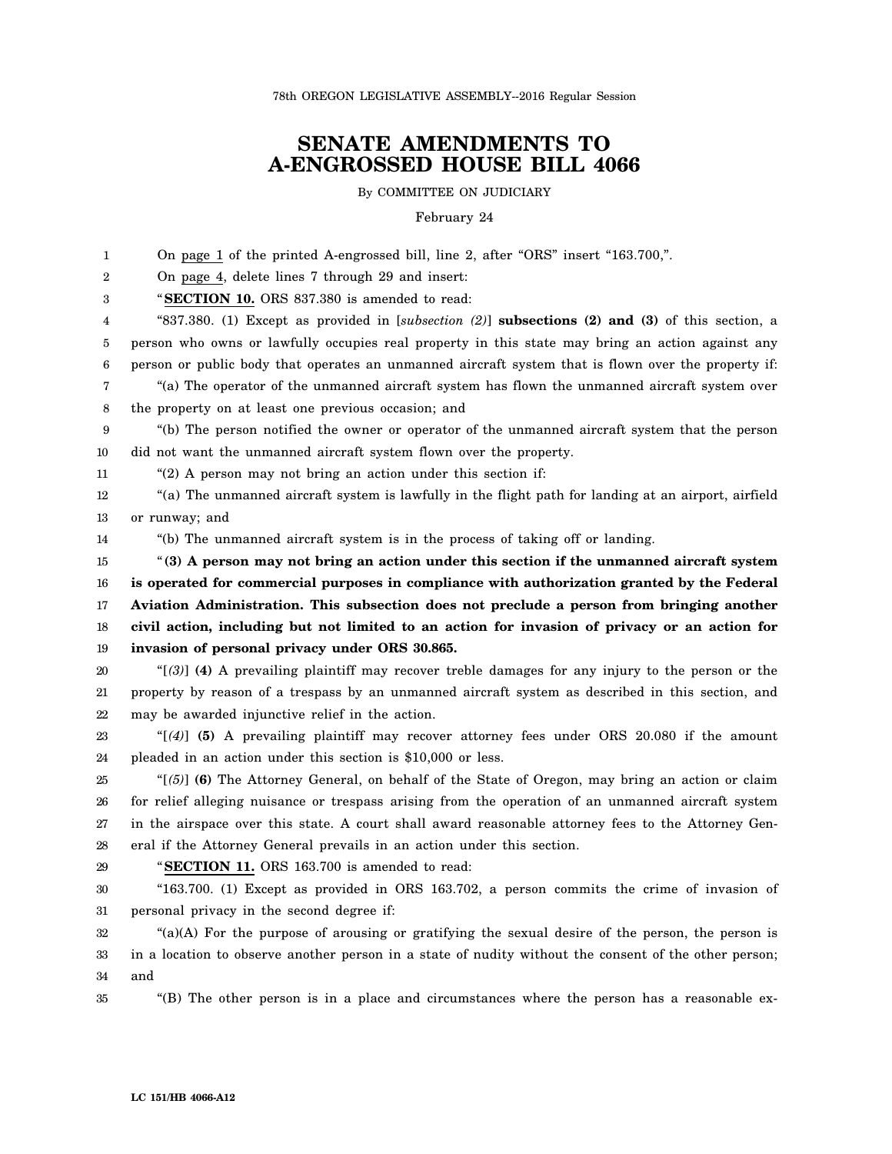78th OREGON LEGISLATIVE ASSEMBLY--2016 Regular Session

## **SENATE AMENDMENTS TO A-ENGROSSED HOUSE BILL 4066**

By COMMITTEE ON JUDICIARY

February 24

1 2 3 4 5 6 7 8 9 10 11 12 13 14 15 16 17 18 19 20 21 22 23 24 25 26 27 28 29 30 31 32 33 34 On page 1 of the printed A-engrossed bill, line 2, after "ORS" insert "163.700,". On page 4, delete lines 7 through 29 and insert: "**SECTION 10.** ORS 837.380 is amended to read: "837.380. (1) Except as provided in [*subsection (2)*] **subsections (2) and (3)** of this section, a person who owns or lawfully occupies real property in this state may bring an action against any person or public body that operates an unmanned aircraft system that is flown over the property if: "(a) The operator of the unmanned aircraft system has flown the unmanned aircraft system over the property on at least one previous occasion; and "(b) The person notified the owner or operator of the unmanned aircraft system that the person did not want the unmanned aircraft system flown over the property. "(2) A person may not bring an action under this section if: "(a) The unmanned aircraft system is lawfully in the flight path for landing at an airport, airfield or runway; and "(b) The unmanned aircraft system is in the process of taking off or landing. "**(3) A person may not bring an action under this section if the unmanned aircraft system is operated for commercial purposes in compliance with authorization granted by the Federal Aviation Administration. This subsection does not preclude a person from bringing another civil action, including but not limited to an action for invasion of privacy or an action for invasion of personal privacy under ORS 30.865.** "[*(3)*] **(4)** A prevailing plaintiff may recover treble damages for any injury to the person or the property by reason of a trespass by an unmanned aircraft system as described in this section, and may be awarded injunctive relief in the action. "[*(4)*] **(5)** A prevailing plaintiff may recover attorney fees under ORS 20.080 if the amount pleaded in an action under this section is \$10,000 or less. "[*(5)*] **(6)** The Attorney General, on behalf of the State of Oregon, may bring an action or claim for relief alleging nuisance or trespass arising from the operation of an unmanned aircraft system in the airspace over this state. A court shall award reasonable attorney fees to the Attorney General if the Attorney General prevails in an action under this section. "**SECTION 11.** ORS 163.700 is amended to read: "163.700. (1) Except as provided in ORS 163.702, a person commits the crime of invasion of personal privacy in the second degree if: "(a)(A) For the purpose of arousing or gratifying the sexual desire of the person, the person is in a location to observe another person in a state of nudity without the consent of the other person; and

35 "(B) The other person is in a place and circumstances where the person has a reasonable ex